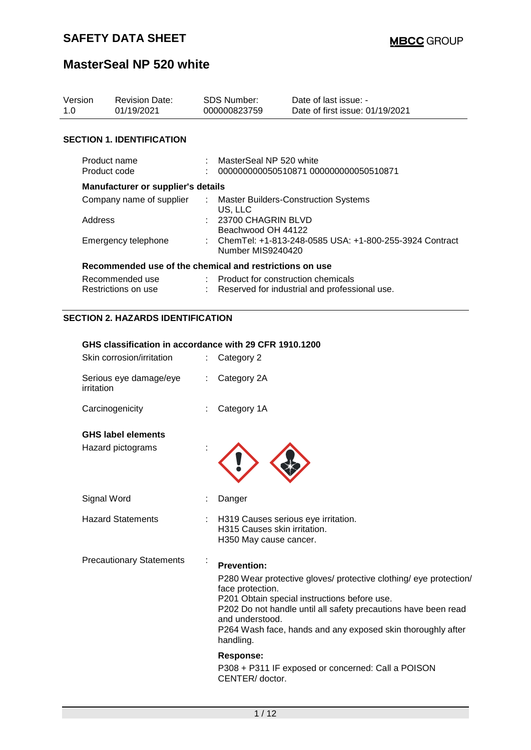| Version<br>1.0 |                                                        | <b>Revision Date:</b><br>01/19/2021       |    | <b>SDS Number:</b><br>000000823759                                                            | Date of last issue: -<br>Date of first issue: 01/19/2021 |  |  |  |
|----------------|--------------------------------------------------------|-------------------------------------------|----|-----------------------------------------------------------------------------------------------|----------------------------------------------------------|--|--|--|
|                |                                                        | <b>SECTION 1. IDENTIFICATION</b>          |    |                                                                                               |                                                          |  |  |  |
|                | Product name<br>Product code                           |                                           |    | MasterSeal NP 520 white<br>000000000050510871 000000000050510871                              |                                                          |  |  |  |
|                |                                                        | <b>Manufacturer or supplier's details</b> |    |                                                                                               |                                                          |  |  |  |
|                | Company name of supplier<br>Address                    |                                           |    | : Master Builders-Construction Systems<br>US, LLC<br>23700 CHAGRIN BLVD<br>Beachwood OH 44122 |                                                          |  |  |  |
|                | Emergency telephone                                    |                                           |    | ChemTel: +1-813-248-0585 USA: +1-800-255-3924 Contract<br>Number MIS9240420                   |                                                          |  |  |  |
|                |                                                        |                                           |    | Recommended use of the chemical and restrictions on use                                       |                                                          |  |  |  |
|                | Recommended use<br>Restrictions on use                 |                                           |    | : Product for construction chemicals<br>Reserved for industrial and professional use.         |                                                          |  |  |  |
|                | <b>SECTION 2. HAZARDS IDENTIFICATION</b>               |                                           |    |                                                                                               |                                                          |  |  |  |
|                | GHS classification in accordance with 29 CFR 1910.1200 |                                           |    |                                                                                               |                                                          |  |  |  |
|                | Skin corrosion/irritation                              |                                           |    | Category 2                                                                                    |                                                          |  |  |  |
|                | Serious eye damage/eye<br>irritation                   |                                           | ÷. | Category 2A                                                                                   |                                                          |  |  |  |

| Carcinogenicity | : Category 1A |
|-----------------|---------------|

Hazard pictograms :

Signal Word : Danger

Hazard Statements : H319 Causes serious eye irritation.

Precautionary Statements :

#### **Prevention:**

H315 Causes skin irritation. H350 May cause cancer.

P280 Wear protective gloves/ protective clothing/ eye protection/ face protection. P201 Obtain special instructions before use. P202 Do not handle until all safety precautions have been read and understood. P264 Wash face, hands and any exposed skin thoroughly after

handling.

**Response:**  P308 + P311 IF exposed or concerned: Call a POISON CENTER/ doctor.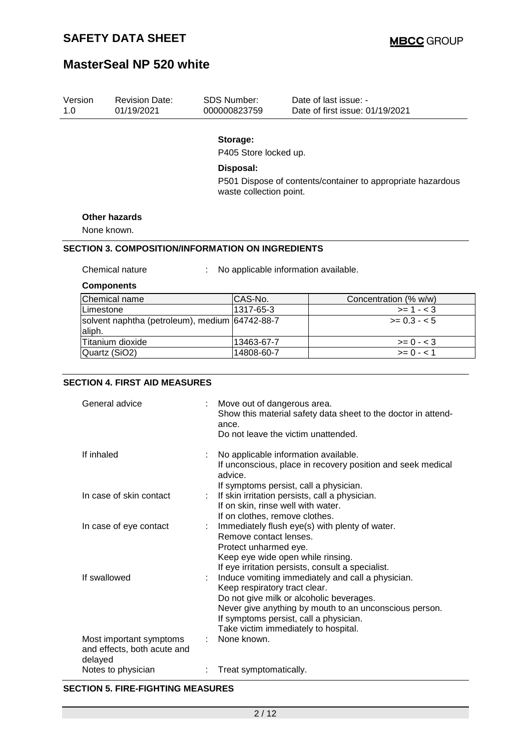Version

# **MasterSeal NP 520 white**

| 1.0 | 01/19/2021                                                        |                                                                                                                                        | 000000823759                                                                                                                                                                                                                                                                                                                    | Date of first issue: 01/19/2021                                                                                                     |  |  |
|-----|-------------------------------------------------------------------|----------------------------------------------------------------------------------------------------------------------------------------|---------------------------------------------------------------------------------------------------------------------------------------------------------------------------------------------------------------------------------------------------------------------------------------------------------------------------------|-------------------------------------------------------------------------------------------------------------------------------------|--|--|
|     |                                                                   |                                                                                                                                        | Storage:<br>P405 Store locked up.                                                                                                                                                                                                                                                                                               |                                                                                                                                     |  |  |
|     |                                                                   |                                                                                                                                        | Disposal:                                                                                                                                                                                                                                                                                                                       | P501 Dispose of contents/container to appropriate hazardous                                                                         |  |  |
|     |                                                                   |                                                                                                                                        | waste collection point.                                                                                                                                                                                                                                                                                                         |                                                                                                                                     |  |  |
|     | <b>Other hazards</b>                                              |                                                                                                                                        |                                                                                                                                                                                                                                                                                                                                 |                                                                                                                                     |  |  |
|     | None known.                                                       |                                                                                                                                        |                                                                                                                                                                                                                                                                                                                                 |                                                                                                                                     |  |  |
|     | <b>SECTION 3. COMPOSITION/INFORMATION ON INGREDIENTS</b>          |                                                                                                                                        |                                                                                                                                                                                                                                                                                                                                 |                                                                                                                                     |  |  |
|     | Chemical nature                                                   |                                                                                                                                        |                                                                                                                                                                                                                                                                                                                                 | No applicable information available.                                                                                                |  |  |
|     | <b>Components</b>                                                 |                                                                                                                                        |                                                                                                                                                                                                                                                                                                                                 |                                                                                                                                     |  |  |
|     | Chemical name                                                     |                                                                                                                                        | CAS-No.                                                                                                                                                                                                                                                                                                                         | Concentration (% w/w)                                                                                                               |  |  |
|     | Limestone                                                         |                                                                                                                                        | 1317-65-3                                                                                                                                                                                                                                                                                                                       | $>= 1 - 3$                                                                                                                          |  |  |
|     | solvent naphtha (petroleum), medium 64742-88-7<br>aliph.          |                                                                                                                                        |                                                                                                                                                                                                                                                                                                                                 | $>= 0.3 - 5$                                                                                                                        |  |  |
|     | Titanium dioxide                                                  |                                                                                                                                        | 13463-67-7                                                                                                                                                                                                                                                                                                                      | $>= 0 - 3$                                                                                                                          |  |  |
|     | Quartz (SiO2)                                                     |                                                                                                                                        | 14808-60-7                                                                                                                                                                                                                                                                                                                      | $>= 0 - 1$                                                                                                                          |  |  |
|     | General advice                                                    |                                                                                                                                        | ance.                                                                                                                                                                                                                                                                                                                           | Move out of dangerous area.<br>Show this material safety data sheet to the doctor in attend-<br>Do not leave the victim unattended. |  |  |
|     | If inhaled                                                        |                                                                                                                                        | No applicable information available.<br>If unconscious, place in recovery position and seek medical<br>advice.                                                                                                                                                                                                                  |                                                                                                                                     |  |  |
|     | In case of skin contact                                           |                                                                                                                                        | If symptoms persist, call a physician.<br>If skin irritation persists, call a physician.<br>If on skin, rinse well with water.<br>If on clothes, remove clothes.                                                                                                                                                                |                                                                                                                                     |  |  |
|     | In case of eye contact                                            | Immediately flush eye(s) with plenty of water.<br>Remove contact lenses.<br>Protect unharmed eye.<br>Keep eye wide open while rinsing. |                                                                                                                                                                                                                                                                                                                                 |                                                                                                                                     |  |  |
|     | If swallowed                                                      |                                                                                                                                        | If eye irritation persists, consult a specialist.<br>Induce vomiting immediately and call a physician.<br>Keep respiratory tract clear.<br>Do not give milk or alcoholic beverages.<br>Never give anything by mouth to an unconscious person.<br>If symptoms persist, call a physician.<br>Take victim immediately to hospital. |                                                                                                                                     |  |  |
|     | Most important symptoms<br>and effects, both acute and<br>delayed |                                                                                                                                        | None known.                                                                                                                                                                                                                                                                                                                     |                                                                                                                                     |  |  |

Revision Date: SDS Number: Date of last issue: -

#### **SECTION 5. FIRE-FIGHTING MEASURES**

Notes to physician : Treat symptomatically.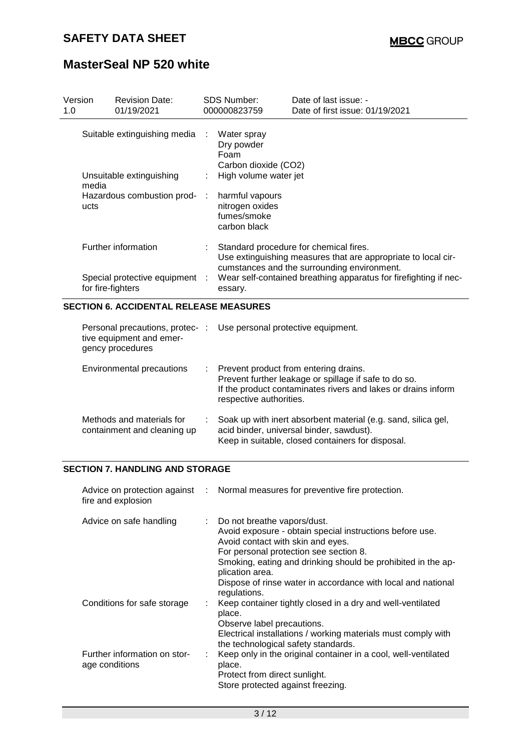| Version<br>1.0 | <b>Revision Date:</b><br>01/19/2021                 |           | SDS Number:<br>000000823759                                       | Date of last issue: -<br>Date of first issue: 01/19/2021                                                                                               |  |
|----------------|-----------------------------------------------------|-----------|-------------------------------------------------------------------|--------------------------------------------------------------------------------------------------------------------------------------------------------|--|
|                | Suitable extinguishing media                        |           | Water spray<br>Dry powder<br>Foam<br>Carbon dioxide (CO2)         |                                                                                                                                                        |  |
| media          | Unsuitable extinguishing                            |           | High volume water jet                                             |                                                                                                                                                        |  |
| ucts           | Hazardous combustion prod-                          | $\sim$ 1. | harmful vapours<br>nitrogen oxides<br>fumes/smoke<br>carbon black |                                                                                                                                                        |  |
|                | Further information                                 |           |                                                                   | Standard procedure for chemical fires.<br>Use extinguishing measures that are appropriate to local cir-<br>cumstances and the surrounding environment. |  |
|                | Special protective equipment :<br>for fire-fighters |           | essary.                                                           | Wear self-contained breathing apparatus for firefighting if nec-                                                                                       |  |

#### **SECTION 6. ACCIDENTAL RELEASE MEASURES**

| tive equipment and emer-<br>gency procedures             |    | Personal precautions, protec-: Use personal protective equipment.                                                                                                                          |
|----------------------------------------------------------|----|--------------------------------------------------------------------------------------------------------------------------------------------------------------------------------------------|
| Environmental precautions                                | ÷. | Prevent product from entering drains.<br>Prevent further leakage or spillage if safe to do so.<br>If the product contaminates rivers and lakes or drains inform<br>respective authorities. |
| Methods and materials for<br>containment and cleaning up |    | Soak up with inert absorbent material (e.g. sand, silica gel,<br>acid binder, universal binder, sawdust).<br>Keep in suitable, closed containers for disposal.                             |

#### **SECTION 7. HANDLING AND STORAGE**

| fire and explosion                             | Advice on protection against : Normal measures for preventive fire protection.                                                                                                                                                           |
|------------------------------------------------|------------------------------------------------------------------------------------------------------------------------------------------------------------------------------------------------------------------------------------------|
| Advice on safe handling                        | : Do not breathe vapors/dust.<br>Avoid exposure - obtain special instructions before use.<br>Avoid contact with skin and eyes.<br>For personal protection see section 8.<br>Smoking, eating and drinking should be prohibited in the ap- |
|                                                | plication area.<br>Dispose of rinse water in accordance with local and national<br>regulations.                                                                                                                                          |
| Conditions for safe storage                    | Keep container tightly closed in a dry and well-ventilated<br>place.<br>Observe label precautions.                                                                                                                                       |
|                                                | Electrical installations / working materials must comply with<br>the technological safety standards.                                                                                                                                     |
| Further information on stor-<br>age conditions | Keep only in the original container in a cool, well-ventilated<br>place.<br>Protect from direct sunlight.<br>Store protected against freezing.                                                                                           |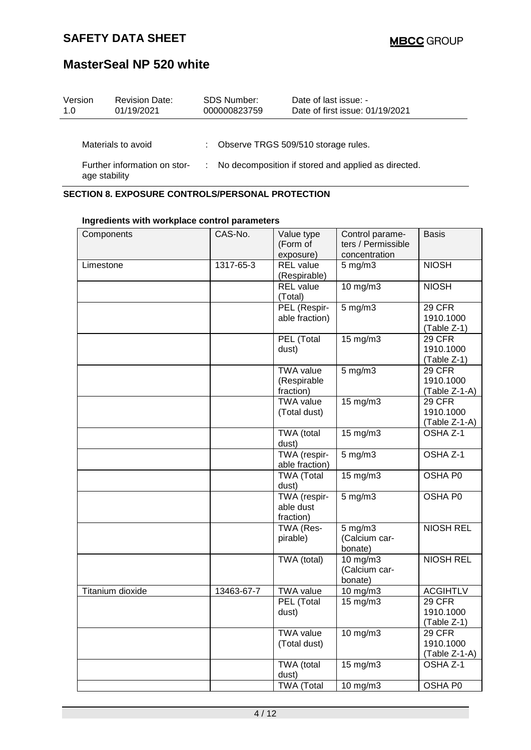| Version<br>1.0                                | <b>Revision Date:</b><br>01/19/2021 | <b>SDS Number:</b><br>000000823759                  |  | Date of last issue: -<br>Date of first issue: 01/19/2021 |
|-----------------------------------------------|-------------------------------------|-----------------------------------------------------|--|----------------------------------------------------------|
|                                               | Materials to avoid                  |                                                     |  | Observe TRGS 509/510 storage rules.                      |
| Further information on stor-<br>age stability |                                     | No decomposition if stored and applied as directed. |  |                                                          |

#### **SECTION 8. EXPOSURE CONTROLS/PERSONAL PROTECTION**

| Components       | CAS-No.    | Value type        | Control parame-       | <b>Basis</b>     |
|------------------|------------|-------------------|-----------------------|------------------|
|                  |            | (Form of          | ters / Permissible    |                  |
|                  |            |                   |                       |                  |
|                  |            | exposure)         | concentration         |                  |
| Limestone        | 1317-65-3  | <b>REL</b> value  | $5$ mg/m $3$          | <b>NIOSH</b>     |
|                  |            | (Respirable)      |                       |                  |
|                  |            | <b>REL</b> value  | 10 mg/m3              | <b>NIOSH</b>     |
|                  |            | (Total)           |                       |                  |
|                  |            | PEL (Respir-      | $5$ mg/m $3$          | <b>29 CFR</b>    |
|                  |            | able fraction)    |                       | 1910.1000        |
|                  |            |                   |                       | (Table Z-1)      |
|                  |            | PEL (Total        | 15 mg/m3              | 29 CFR           |
|                  |            | dust)             |                       | 1910.1000        |
|                  |            |                   |                       | (Table Z-1)      |
|                  |            | <b>TWA value</b>  | $5$ mg/m $3$          | 29 CFR           |
|                  |            | (Respirable       |                       | 1910.1000        |
|                  |            | fraction)         |                       | (Table Z-1-A)    |
|                  |            | <b>TWA value</b>  | 15 mg/m3              | 29 CFR           |
|                  |            | (Total dust)      |                       | 1910.1000        |
|                  |            |                   |                       | (Table Z-1-A)    |
|                  |            | TWA (total        | 15 mg/m3              | OSHA Z-1         |
|                  |            | dust)             |                       |                  |
|                  |            | TWA (respir-      | $5$ mg/m $3$          | OSHA Z-1         |
|                  |            | able fraction)    |                       |                  |
|                  |            | <b>TWA (Total</b> | 15 mg/m3              | OSHA P0          |
|                  |            | dust)             |                       |                  |
|                  |            | TWA (respir-      | $5$ mg/m $3$          | OSHA P0          |
|                  |            | able dust         |                       |                  |
|                  |            | fraction)         |                       |                  |
|                  |            | TWA (Res-         | 5 mg/m $\overline{3}$ | <b>NIOSH REL</b> |
|                  |            | pirable)          | (Calcium car-         |                  |
|                  |            |                   | bonate)               |                  |
|                  |            | TWA (total)       | 10 mg/m3              | <b>NIOSH REL</b> |
|                  |            |                   | (Calcium car-         |                  |
|                  |            |                   | bonate)               |                  |
| Titanium dioxide | 13463-67-7 | <b>TWA value</b>  | 10 mg/m3              | <b>ACGIHTLV</b>  |
|                  |            | PEL (Total        | 15 mg/m3              | 29 CFR           |
|                  |            | dust)             |                       | 1910.1000        |
|                  |            |                   |                       | $(Table Z-1)$    |
|                  |            | <b>TWA value</b>  | 10 mg/m3              | <b>29 CFR</b>    |
|                  |            | (Total dust)      |                       | 1910.1000        |
|                  |            |                   |                       | (Table Z-1-A)    |
|                  |            | TWA (total        | 15 mg/m3              | OSHA Z-1         |
|                  |            | dust)             |                       |                  |
|                  |            | <b>TWA (Total</b> | 10 mg/m3              | OSHA P0          |

#### **Ingredients with workplace control parameters**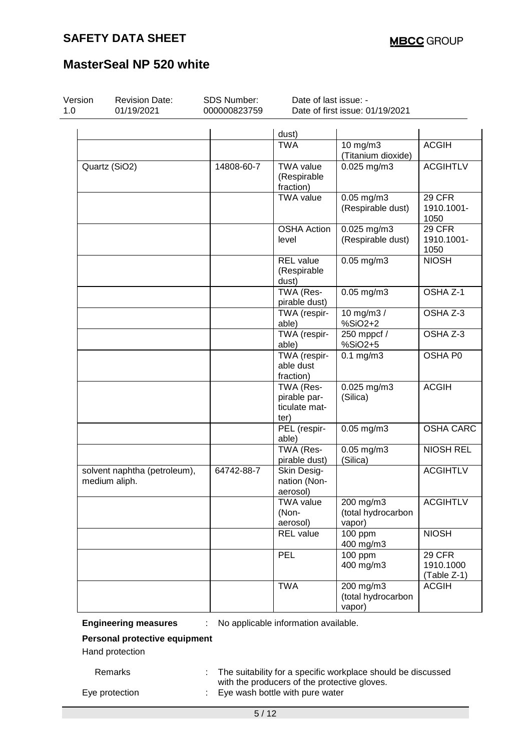| Version<br>1.0 | <b>Revision Date:</b><br>01/19/2021           | <b>SDS Number:</b><br>000000823759 | Date of last issue: -<br>Date of first issue: 01/19/2021 |                                           |                                    |  |  |
|----------------|-----------------------------------------------|------------------------------------|----------------------------------------------------------|-------------------------------------------|------------------------------------|--|--|
|                |                                               |                                    | dust)                                                    |                                           |                                    |  |  |
|                |                                               |                                    | <b>TWA</b>                                               | 10 mg/m3<br>(Titanium dioxide)            | <b>ACGIH</b>                       |  |  |
|                | Quartz (SiO2)                                 | 14808-60-7                         | <b>TWA value</b><br>(Respirable<br>fraction)             | $0.025$ mg/m $3$                          | <b>ACGIHTLV</b>                    |  |  |
|                |                                               |                                    | <b>TWA value</b>                                         | $0.05$ mg/m $3$<br>(Respirable dust)      | 29 CFR<br>1910.1001-<br>1050       |  |  |
|                |                                               |                                    | <b>OSHA Action</b><br>level                              | 0.025 mg/m3<br>(Respirable dust)          | 29 CFR<br>1910.1001-<br>1050       |  |  |
|                |                                               |                                    | <b>REL</b> value<br>(Respirable<br>dust)                 | $0.05$ mg/m $3$                           | <b>NIOSH</b>                       |  |  |
|                |                                               |                                    | TWA (Res-<br>pirable dust)                               | $0.05$ mg/m $3$                           | OSHA Z-1                           |  |  |
|                |                                               |                                    | TWA (respir-<br>able)                                    | 10 mg/m3 /<br>%SiO2+2                     | OSHA Z-3                           |  |  |
|                |                                               |                                    | TWA (respir-<br>able)                                    | $250$ mppcf /<br>%SiO2+5                  | OSHA Z-3                           |  |  |
|                |                                               |                                    | TWA (respir-<br>able dust<br>fraction)                   | $0.1$ mg/m $3$                            | OSHA P0                            |  |  |
|                |                                               |                                    | TWA (Res-<br>pirable par-<br>ticulate mat-<br>ter)       | $0.025$ mg/m3<br>(Silica)                 | <b>ACGIH</b>                       |  |  |
|                |                                               |                                    | PEL (respir-<br>able)                                    | $0.05$ mg/m $3$                           | <b>OSHA CARC</b>                   |  |  |
|                |                                               |                                    | TWA (Res-<br>pirable dust)                               | $0.05$ mg/m $3$<br>(Silica)               | <b>NIOSH REL</b>                   |  |  |
|                | solvent naphtha (petroleum),<br>medium aliph. | 64742-88-7                         | Skin Desig-<br>nation (Non-<br>aerosol)                  |                                           | <b>ACGIHTLV</b>                    |  |  |
|                |                                               |                                    | <b>TWA value</b><br>(Non-<br>aerosol)                    | 200 mg/m3<br>(total hydrocarbon<br>vapor) | <b>ACGIHTLV</b>                    |  |  |
|                |                                               |                                    | REL value                                                | $\frac{1}{100}$ ppm<br>400 mg/m3          | <b>NIOSH</b>                       |  |  |
|                |                                               |                                    | PEL                                                      | 100 ppm<br>400 mg/m3                      | 29 CFR<br>1910.1000<br>(Table Z-1) |  |  |
|                |                                               |                                    | <b>TWA</b>                                               | 200 mg/m3<br>(total hydrocarbon<br>vapor) | <b>ACGIH</b>                       |  |  |

**Engineering measures** : No applicable information available.

5 / 12

**Personal protective equipment**

Hand protection

Remarks : The suitability for a specific workplace should be discussed with the producers of the protective gloves. Eye protection : Eye wash bottle with pure water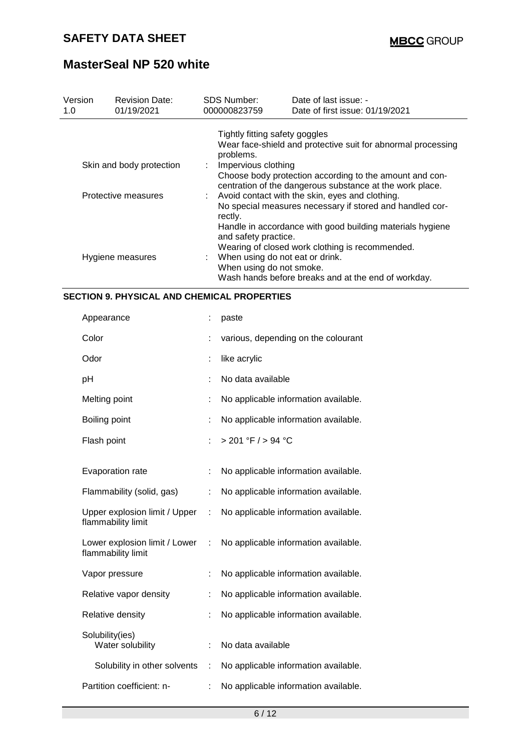| Version<br>1.0 | <b>Revision Date:</b><br>01/19/2021 | <b>SDS Number:</b><br>000000823759                                                                                                                                                                                                                             | Date of last issue: -<br>Date of first issue: 01/19/2021                               |  |  |  |
|----------------|-------------------------------------|----------------------------------------------------------------------------------------------------------------------------------------------------------------------------------------------------------------------------------------------------------------|----------------------------------------------------------------------------------------|--|--|--|
|                |                                     | Tightly fitting safety goggles<br>problems.                                                                                                                                                                                                                    | Wear face-shield and protective suit for abnormal processing                           |  |  |  |
|                | Skin and body protection            | Impervious clothing<br>Choose body protection according to the amount and con-<br>centration of the dangerous substance at the work place.                                                                                                                     |                                                                                        |  |  |  |
|                | Protective measures                 | Avoid contact with the skin, eyes and clothing.<br>No special measures necessary if stored and handled cor-<br>rectly.<br>Handle in accordance with good building materials hygiene<br>and safety practice.<br>Wearing of closed work clothing is recommended. |                                                                                        |  |  |  |
|                | Hygiene measures                    | When using do not smoke.                                                                                                                                                                                                                                       | When using do not eat or drink.<br>Wash hands before breaks and at the end of workday. |  |  |  |

#### **SECTION 9. PHYSICAL AND CHEMICAL PROPERTIES**

| Appearance                                          |   | paste                                |
|-----------------------------------------------------|---|--------------------------------------|
| Color                                               |   | various, depending on the colourant  |
| Odor                                                |   | like acrylic                         |
| рH                                                  |   | No data available                    |
| Melting point                                       |   | No applicable information available. |
| Boiling point                                       | t | No applicable information available. |
| Flash point                                         |   | > 201 °F / > 94 °C                   |
|                                                     |   |                                      |
| Evaporation rate                                    | t | No applicable information available. |
| Flammability (solid, gas)                           | t | No applicable information available. |
| Upper explosion limit / Upper<br>flammability limit |   | No applicable information available. |
| Lower explosion limit / Lower<br>flammability limit |   | No applicable information available. |
| Vapor pressure                                      | t | No applicable information available. |
| Relative vapor density                              |   | No applicable information available. |
| Relative density                                    |   | No applicable information available. |
| Solubility(ies)<br>Water solubility                 |   | No data available                    |
| Solubility in other solvents                        | ÷ | No applicable information available. |
| Partition coefficient: n-                           |   | No applicable information available. |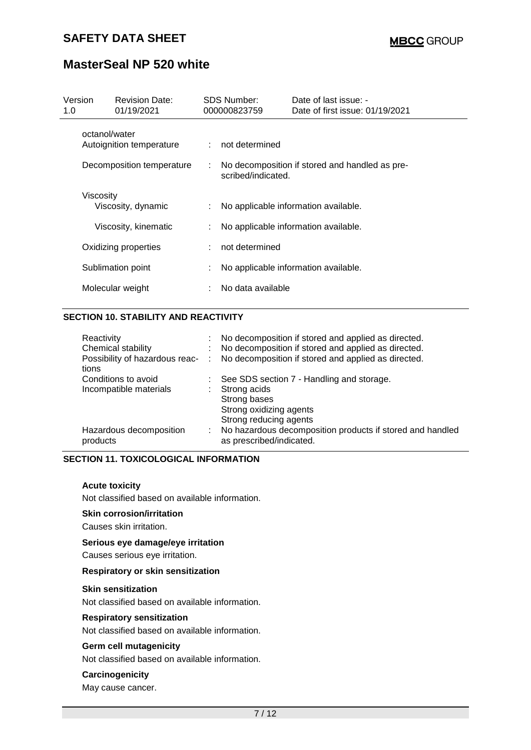| Version<br>1.0                            | <b>Revision Date:</b><br>01/19/2021 |    | <b>SDS Number:</b><br>000000823759                                   | Date of last issue: -<br>Date of first issue: 01/19/2021 |  |
|-------------------------------------------|-------------------------------------|----|----------------------------------------------------------------------|----------------------------------------------------------|--|
| octanol/water<br>Autoignition temperature |                                     |    | : not determined                                                     |                                                          |  |
| Decomposition temperature                 |                                     | ÷  | No decomposition if stored and handled as pre-<br>scribed/indicated. |                                                          |  |
| Viscosity                                 | Viscosity, dynamic                  | ÷. |                                                                      | No applicable information available.                     |  |
| Viscosity, kinematic                      |                                     | ÷  | No applicable information available.                                 |                                                          |  |
| Oxidizing properties                      |                                     | ÷  | not determined                                                       |                                                          |  |
| Sublimation point                         |                                     | ÷  |                                                                      | No applicable information available.                     |  |
| Molecular weight                          |                                     |    | No data available                                                    |                                                          |  |

### **SECTION 10. STABILITY AND REACTIVITY**

| t.                             | No decomposition if stored and applied as directed.                                   |
|--------------------------------|---------------------------------------------------------------------------------------|
|                                | No decomposition if stored and applied as directed.                                   |
| Possibility of hazardous reac- | No decomposition if stored and applied as directed.                                   |
|                                | See SDS section 7 - Handling and storage.                                             |
|                                | Strong acids                                                                          |
|                                | Strong bases                                                                          |
|                                | Strong oxidizing agents                                                               |
|                                | Strong reducing agents                                                                |
| ÷.                             | No hazardous decomposition products if stored and handled<br>as prescribed/indicated. |
|                                |                                                                                       |

#### **SECTION 11. TOXICOLOGICAL INFORMATION**

#### **Acute toxicity**

Not classified based on available information.

**Skin corrosion/irritation**

Causes skin irritation.

#### **Serious eye damage/eye irritation**

Causes serious eye irritation.

#### **Respiratory or skin sensitization**

#### **Skin sensitization**

Not classified based on available information.

#### **Respiratory sensitization**

Not classified based on available information.

#### **Germ cell mutagenicity**

Not classified based on available information.

#### **Carcinogenicity**

May cause cancer.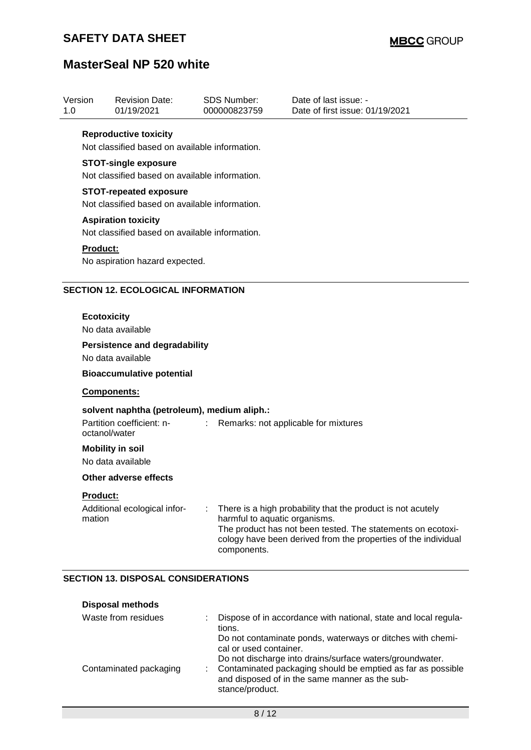| Version<br>1.0 | <b>Revision Date:</b><br>01/19/2021                                                       | <b>SDS Number:</b><br>000000823759 | Date of last issue: -<br>Date of first issue: 01/19/2021 |
|----------------|-------------------------------------------------------------------------------------------|------------------------------------|----------------------------------------------------------|
|                | <b>Reproductive toxicity</b><br>Not classified based on available information.            |                                    |                                                          |
|                | <b>STOT-single exposure</b><br>Not classified based on available information.             |                                    |                                                          |
|                | <b>STOT-repeated exposure</b><br>Not classified based on available information.           |                                    |                                                          |
|                | <b>Aspiration toxicity</b><br>Not classified based on available information.              |                                    |                                                          |
| Product:       | No aspiration hazard expected.                                                            |                                    |                                                          |
|                | <b>SECTION 12. ECOLOGICAL INFORMATION</b>                                                 |                                    |                                                          |
|                | <b>Ecotoxicity</b><br>No data available                                                   |                                    |                                                          |
|                | <b>Persistence and degradability</b><br>No data available                                 |                                    |                                                          |
|                | <b>Bioaccumulative potential</b>                                                          |                                    |                                                          |
|                | <b>Components:</b>                                                                        |                                    |                                                          |
|                | solvent naphtha (petroleum), medium aliph.:<br>Partition coefficient: n-<br>octanol/water | ÷.                                 | Remarks: not applicable for mixtures                     |
|                | <b>Mobility in soil</b><br>No data available                                              |                                    |                                                          |
|                | Other adverse effects                                                                     |                                    |                                                          |
|                |                                                                                           |                                    |                                                          |

#### **SECTION 13. DISPOSAL CONSIDERATIONS**

| <b>Disposal methods</b> |  |                                                                                                                                                                                              |
|-------------------------|--|----------------------------------------------------------------------------------------------------------------------------------------------------------------------------------------------|
| Waste from residues     |  | Dispose of in accordance with national, state and local regula-<br>tions.                                                                                                                    |
|                         |  | Do not contaminate ponds, waterways or ditches with chemi-<br>cal or used container.                                                                                                         |
| Contaminated packaging  |  | Do not discharge into drains/surface waters/groundwater.<br>Contaminated packaging should be emptied as far as possible<br>and disposed of in the same manner as the sub-<br>stance/product. |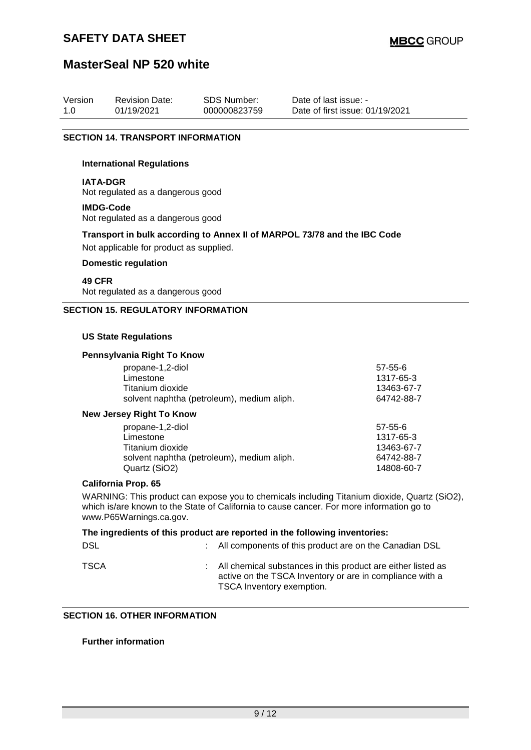### **SAFETY DATA SHEET**

### **MasterSeal NP 520 white**

| Version | <b>Revision Date:</b> | <b>SDS Number:</b> | Date of last issue: -           |
|---------|-----------------------|--------------------|---------------------------------|
| 1.0     | 01/19/2021            | 000000823759       | Date of first issue: 01/19/2021 |

#### **SECTION 14. TRANSPORT INFORMATION**

#### **International Regulations**

#### **IATA-DGR**

Not regulated as a dangerous good

#### **IMDG-Code**

Not regulated as a dangerous good

# **Transport in bulk according to Annex II of MARPOL 73/78 and the IBC Code**

Not applicable for product as supplied.

#### **Domestic regulation**

#### **49 CFR**

Not regulated as a dangerous good

#### **SECTION 15. REGULATORY INFORMATION**

#### **US State Regulations**

#### **Pennsylvania Right To Know**

| propane-1,2-diol                           | $57 - 55 - 6$ |
|--------------------------------------------|---------------|
| Limestone                                  | 1317-65-3     |
| Titanium dioxide                           | 13463-67-7    |
| solvent naphtha (petroleum), medium aliph. | 64742-88-7    |
| <b>New Jersey Right To Know</b>            |               |
| propane-1,2-diol                           | $57 - 55 - 6$ |
| Limestone                                  | 1317-65-3     |
| Titanium dioxide                           | 13463-67-7    |
| solvent naphtha (petroleum), medium aliph. | 64742-88-7    |
| Quartz (SiO2)                              | 14808-60-7    |

#### **California Prop. 65**

WARNING: This product can expose you to chemicals including Titanium dioxide, Quartz (SiO2), which is/are known to the State of California to cause cancer. For more information go to www.P65Warnings.ca.gov.

### **The ingredients of this product are reported in the following inventories:** DSL **EXECUTE:** All components of this product are on the Canadian DSL TSCA : All chemical substances in this product are either listed as active on the TSCA Inventory or are in compliance with a TSCA Inventory exemption.

#### **SECTION 16. OTHER INFORMATION**

#### **Further information**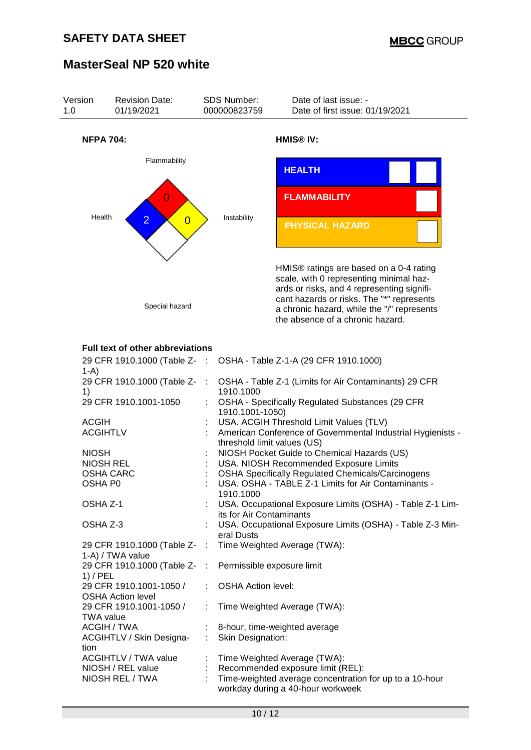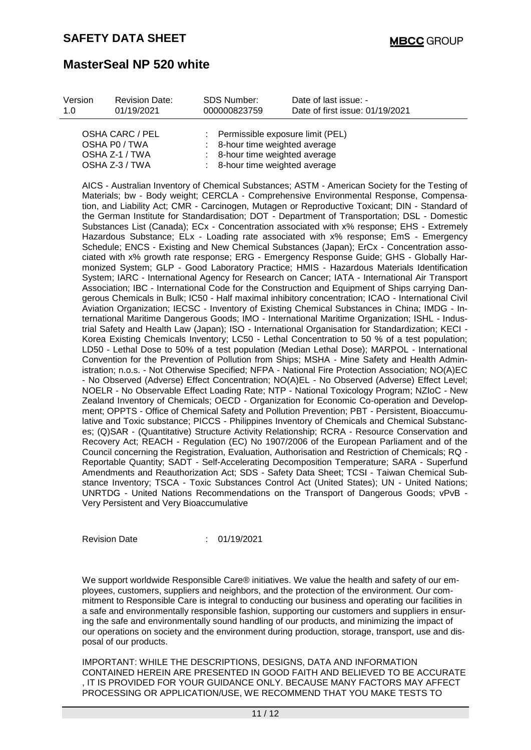| Version | <b>Revision Date:</b> | SDS Number:  | Date of last issue: -           |
|---------|-----------------------|--------------|---------------------------------|
| 1 O     | 01/19/2021            | 000000823759 | Date of first issue: 01/19/2021 |
|         |                       |              |                                 |

| OSHA CARC / PEL | Permissible exposure limit (PEL)          |
|-----------------|-------------------------------------------|
| OSHA P0 / TWA   | : 8-hour time weighted average            |
| OSHA Z-1 / TWA  | : 8-hour time weighted average            |
| OSHA Z-3 / TWA  | $\therefore$ 8-hour time weighted average |
|                 |                                           |

AICS - Australian Inventory of Chemical Substances; ASTM - American Society for the Testing of Materials; bw - Body weight; CERCLA - Comprehensive Environmental Response, Compensation, and Liability Act; CMR - Carcinogen, Mutagen or Reproductive Toxicant; DIN - Standard of the German Institute for Standardisation; DOT - Department of Transportation; DSL - Domestic Substances List (Canada); ECx - Concentration associated with x% response; EHS - Extremely Hazardous Substance; ELx - Loading rate associated with x% response; EmS - Emergency Schedule; ENCS - Existing and New Chemical Substances (Japan); ErCx - Concentration associated with x% growth rate response; ERG - Emergency Response Guide; GHS - Globally Harmonized System; GLP - Good Laboratory Practice; HMIS - Hazardous Materials Identification System; IARC - International Agency for Research on Cancer; IATA - International Air Transport Association; IBC - International Code for the Construction and Equipment of Ships carrying Dangerous Chemicals in Bulk; IC50 - Half maximal inhibitory concentration; ICAO - International Civil Aviation Organization; IECSC - Inventory of Existing Chemical Substances in China; IMDG - International Maritime Dangerous Goods; IMO - International Maritime Organization; ISHL - Industrial Safety and Health Law (Japan); ISO - International Organisation for Standardization; KECI - Korea Existing Chemicals Inventory; LC50 - Lethal Concentration to 50 % of a test population; LD50 - Lethal Dose to 50% of a test population (Median Lethal Dose); MARPOL - International Convention for the Prevention of Pollution from Ships; MSHA - Mine Safety and Health Administration; n.o.s. - Not Otherwise Specified; NFPA - National Fire Protection Association; NO(A)EC - No Observed (Adverse) Effect Concentration; NO(A)EL - No Observed (Adverse) Effect Level; NOELR - No Observable Effect Loading Rate; NTP - National Toxicology Program; NZIoC - New Zealand Inventory of Chemicals; OECD - Organization for Economic Co-operation and Development; OPPTS - Office of Chemical Safety and Pollution Prevention; PBT - Persistent, Bioaccumulative and Toxic substance; PICCS - Philippines Inventory of Chemicals and Chemical Substances; (Q)SAR - (Quantitative) Structure Activity Relationship; RCRA - Resource Conservation and Recovery Act; REACH - Regulation (EC) No 1907/2006 of the European Parliament and of the Council concerning the Registration, Evaluation, Authorisation and Restriction of Chemicals; RQ - Reportable Quantity; SADT - Self-Accelerating Decomposition Temperature; SARA - Superfund Amendments and Reauthorization Act; SDS - Safety Data Sheet; TCSI - Taiwan Chemical Substance Inventory; TSCA - Toxic Substances Control Act (United States); UN - United Nations; UNRTDG - United Nations Recommendations on the Transport of Dangerous Goods; vPvB - Very Persistent and Very Bioaccumulative

Revision Date : 01/19/2021

We support worldwide Responsible Care® initiatives. We value the health and safety of our employees, customers, suppliers and neighbors, and the protection of the environment. Our commitment to Responsible Care is integral to conducting our business and operating our facilities in a safe and environmentally responsible fashion, supporting our customers and suppliers in ensuring the safe and environmentally sound handling of our products, and minimizing the impact of our operations on society and the environment during production, storage, transport, use and disposal of our products.

IMPORTANT: WHILE THE DESCRIPTIONS, DESIGNS, DATA AND INFORMATION CONTAINED HEREIN ARE PRESENTED IN GOOD FAITH AND BELIEVED TO BE ACCURATE , IT IS PROVIDED FOR YOUR GUIDANCE ONLY. BECAUSE MANY FACTORS MAY AFFECT PROCESSING OR APPLICATION/USE, WE RECOMMEND THAT YOU MAKE TESTS TO